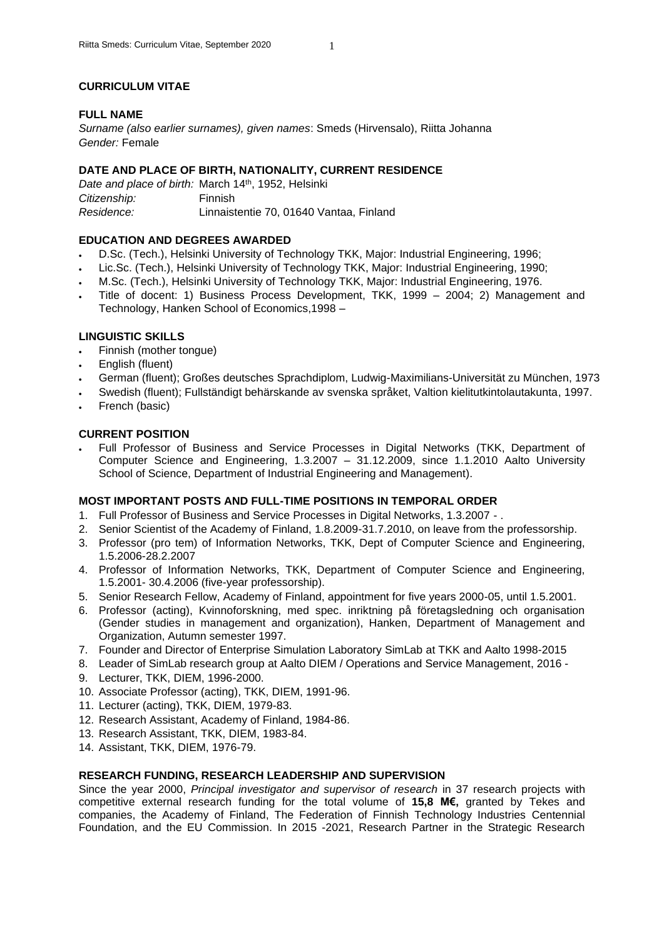### **CURRICULUM VITAE**

### **FULL NAME**

*Surname (also earlier surnames), given names*: Smeds (Hirvensalo), Riitta Johanna *Gender:* Female

### **DATE AND PLACE OF BIRTH, NATIONALITY, CURRENT RESIDENCE**

Date and place of birth: March 14<sup>th</sup>, 1952, Helsinki *Citizenship:* Finnish *Residence:* Linnaistentie 70, 01640 Vantaa, Finland

### **EDUCATION AND DEGREES AWARDED**

- D.Sc. (Tech.), Helsinki University of Technology TKK, Major: Industrial Engineering, 1996;
- Lic.Sc. (Tech.), Helsinki University of Technology TKK, Major: Industrial Engineering, 1990;
- M.Sc. (Tech.), Helsinki University of Technology TKK, Major: Industrial Engineering, 1976.
- Title of docent: 1) Business Process Development, TKK, 1999 2004; 2) Management and Technology, Hanken School of Economics,1998 –

### **LINGUISTIC SKILLS**

- Finnish (mother tongue)
- English (fluent)
- German (fluent); Großes deutsches Sprachdiplom, Ludwig-Maximilians-Universität zu München, 1973
- Swedish (fluent); Fullständigt behärskande av svenska språket, Valtion kielitutkintolautakunta, 1997.
- French (basic)

## **CURRENT POSITION**

• Full Professor of Business and Service Processes in Digital Networks (TKK, Department of Computer Science and Engineering, 1.3.2007 – 31.12.2009, since 1.1.2010 Aalto University School of Science, Department of Industrial Engineering and Management).

### **MOST IMPORTANT POSTS AND FULL-TIME POSITIONS IN TEMPORAL ORDER**

- 1. Full Professor of Business and Service Processes in Digital Networks, 1.3.2007 .
- 2. Senior Scientist of the Academy of Finland, 1.8.2009-31.7.2010, on leave from the professorship.
- 3. Professor (pro tem) of Information Networks, TKK, Dept of Computer Science and Engineering, 1.5.2006-28.2.2007
- 4. Professor of Information Networks, TKK, Department of Computer Science and Engineering, 1.5.2001- 30.4.2006 (five-year professorship).
- 5. Senior Research Fellow, Academy of Finland, appointment for five years 2000-05, until 1.5.2001.
- 6. Professor (acting), Kvinnoforskning, med spec. inriktning på företagsledning och organisation (Gender studies in management and organization), Hanken, Department of Management and Organization, Autumn semester 1997.
- 7. Founder and Director of Enterprise Simulation Laboratory SimLab at TKK and Aalto 1998-2015
- 8. Leader of SimLab research group at Aalto DIEM / Operations and Service Management, 2016 -
- 9. Lecturer, TKK, DIEM, 1996-2000.
- 10. Associate Professor (acting), TKK, DIEM, 1991-96.
- 11. Lecturer (acting), TKK, DIEM, 1979-83.
- 12. Research Assistant, Academy of Finland, 1984-86.
- 13. Research Assistant, TKK, DIEM, 1983-84.
- 14. Assistant, TKK, DIEM, 1976-79.

#### **RESEARCH FUNDING, RESEARCH LEADERSHIP AND SUPERVISION**

Since the year 2000, *Principal investigator and supervisor of research* in 37 research projects with competitive external research funding for the total volume of **15,8 M€,** granted by Tekes and companies, the Academy of Finland, The Federation of Finnish Technology Industries Centennial Foundation, and the EU Commission. In 2015 -2021, Research Partner in the Strategic Research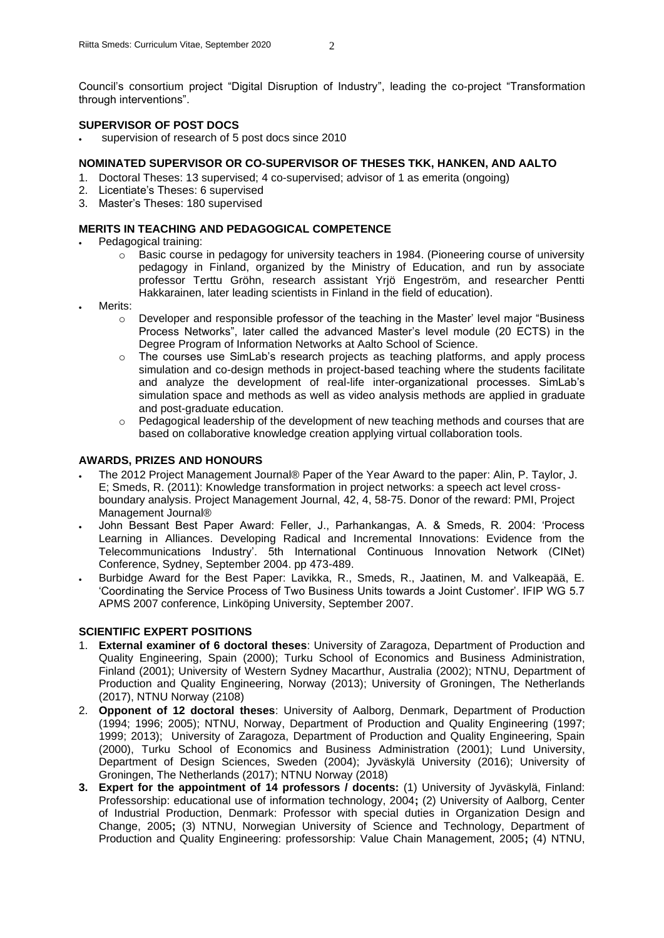Council's consortium project "Digital Disruption of Industry", leading the co-project "Transformation through interventions".

### **SUPERVISOR OF POST DOCS**

supervision of research of 5 post docs since 2010

### **NOMINATED SUPERVISOR OR CO-SUPERVISOR OF THESES TKK, HANKEN, AND AALTO**

- 1. Doctoral Theses: 13 supervised; 4 co-supervised; advisor of 1 as emerita (ongoing)
- 2. Licentiate's Theses: 6 supervised
- 3. Master's Theses: 180 supervised

### **MERITS IN TEACHING AND PEDAGOGICAL COMPETENCE**

- Pedagogical training:
	- o Basic course in pedagogy for university teachers in 1984. (Pioneering course of university pedagogy in Finland, organized by the Ministry of Education, and run by associate professor Terttu Gröhn, research assistant Yrjö Engeström, and researcher Pentti Hakkarainen, later leading scientists in Finland in the field of education).
- Merits:
	- o Developer and responsible professor of the teaching in the Master' level major "Business Process Networks", later called the advanced Master's level module (20 ECTS) in the Degree Program of Information Networks at Aalto School of Science.
	- $\circ$  The courses use SimLab's research projects as teaching platforms, and apply process simulation and co-design methods in project-based teaching where the students facilitate and analyze the development of real-life inter-organizational processes. SimLab's simulation space and methods as well as video analysis methods are applied in graduate and post-graduate education.
	- $\circ$  Pedagogical leadership of the development of new teaching methods and courses that are based on collaborative knowledge creation applying virtual collaboration tools.

### **AWARDS, PRIZES AND HONOURS**

- The 2012 Project Management Journal® Paper of the Year Award to the paper: Alin, P. Taylor, J. E; Smeds, R. (2011): Knowledge transformation in project networks: a speech act level crossboundary analysis. Project Management Journal, 42, 4, 58-75. Donor of the reward: PMI, Project Management Journal®
- John Bessant Best Paper Award: Feller, J., Parhankangas, A. & Smeds, R. 2004: 'Process Learning in Alliances. Developing Radical and Incremental Innovations: Evidence from the Telecommunications Industry'. 5th International Continuous Innovation Network (CINet) Conference, Sydney, September 2004. pp 473-489.
- Burbidge Award for the Best Paper: Lavikka, R., Smeds, R., Jaatinen, M. and Valkeapää, E. 'Coordinating the Service Process of Two Business Units towards a Joint Customer'. IFIP WG 5.7 APMS 2007 conference, Linköping University, September 2007.

### **SCIENTIFIC EXPERT POSITIONS**

- 1. **External examiner of 6 doctoral theses**: University of Zaragoza, Department of Production and Quality Engineering, Spain (2000); Turku School of Economics and Business Administration, Finland (2001); University of Western Sydney Macarthur, Australia (2002); NTNU, Department of Production and Quality Engineering, Norway (2013); University of Groningen, The Netherlands (2017), NTNU Norway (2108)
- 2. **Opponent of 12 doctoral theses**: University of Aalborg, Denmark, Department of Production (1994; 1996; 2005); NTNU, Norway, Department of Production and Quality Engineering (1997; 1999; 2013); University of Zaragoza, Department of Production and Quality Engineering, Spain (2000), Turku School of Economics and Business Administration (2001); Lund University, Department of Design Sciences, Sweden (2004); Jyväskylä University (2016); University of Groningen, The Netherlands (2017); NTNU Norway (2018)
- **3. Expert for the appointment of 14 professors / docents:** (1) University of Jyväskylä, Finland: Professorship: educational use of information technology, 2004**;** (2) University of Aalborg, Center of Industrial Production, Denmark: Professor with special duties in Organization Design and Change, 2005**;** (3) NTNU, Norwegian University of Science and Technology, Department of Production and Quality Engineering: professorship: Value Chain Management, 2005**;** (4) NTNU,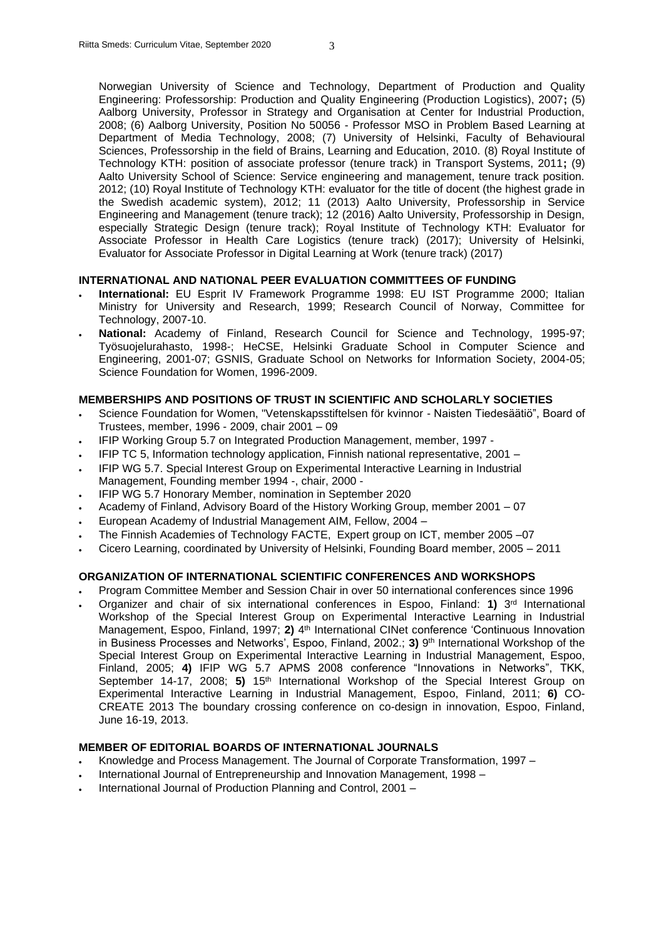Norwegian University of Science and Technology, Department of Production and Quality Engineering: Professorship: Production and Quality Engineering (Production Logistics), 2007**;** (5) Aalborg University, Professor in Strategy and Organisation at Center for Industrial Production, 2008; (6) Aalborg University, Position No 50056 - Professor MSO in Problem Based Learning at Department of Media Technology, 2008; (7) University of Helsinki, Faculty of Behavioural Sciences, Professorship in the field of Brains, Learning and Education, 2010. (8) Royal Institute of Technology KTH: position of associate professor (tenure track) in Transport Systems, 2011**;** (9) Aalto University School of Science: Service engineering and management, tenure track position. 2012; (10) Royal Institute of Technology KTH: evaluator for the title of docent (the highest grade in the Swedish academic system), 2012; 11 (2013) Aalto University, Professorship in Service Engineering and Management (tenure track); 12 (2016) Aalto University, Professorship in Design, especially Strategic Design (tenure track); Royal Institute of Technology KTH: Evaluator for Associate Professor in Health Care Logistics (tenure track) (2017); University of Helsinki, Evaluator for Associate Professor in Digital Learning at Work (tenure track) (2017)

#### **INTERNATIONAL AND NATIONAL PEER EVALUATION COMMITTEES OF FUNDING**

- **International:** EU Esprit IV Framework Programme 1998: EU IST Programme 2000; Italian Ministry for University and Research, 1999; Research Council of Norway, Committee for Technology, 2007-10.
- **National:** Academy of Finland, Research Council for Science and Technology, 1995-97; Työsuojelurahasto, 1998-; HeCSE, Helsinki Graduate School in Computer Science and Engineering, 2001-07; GSNIS, Graduate School on Networks for Information Society, 2004-05; Science Foundation for Women, 1996-2009.

### **MEMBERSHIPS AND POSITIONS OF TRUST IN SCIENTIFIC AND SCHOLARLY SOCIETIES**

- Science Foundation for Women, "Vetenskapsstiftelsen för kvinnor Naisten Tiedesäätiö", Board of Trustees, member, 1996 - 2009, chair 2001 – 09
- IFIP Working Group 5.7 on Integrated Production Management, member, 1997 -
- IFIP TC 5, Information technology application, Finnish national representative, 2001 –
- IFIP WG 5.7. Special Interest Group on Experimental Interactive Learning in Industrial Management, Founding member 1994 -, chair, 2000 -
- IFIP WG 5.7 Honorary Member, nomination in September 2020
- Academy of Finland, Advisory Board of the History Working Group, member 2001 07
- European Academy of Industrial Management AIM, Fellow, 2004 –
- The Finnish Academies of Technology FACTE, Expert group on ICT, member 2005 –07
- Cicero Learning, coordinated by University of Helsinki, Founding Board member, 2005 2011

#### **ORGANIZATION OF INTERNATIONAL SCIENTIFIC CONFERENCES AND WORKSHOPS**

- Program Committee Member and Session Chair in over 50 international conferences since 1996
- **•** Organizer and chair of six international conferences in Espoo, Finland: **1)** 3<sup>rd</sup> International Workshop of the Special Interest Group on Experimental Interactive Learning in Industrial Management, Espoo, Finland, 1997; 2) <sup>4th</sup> International CINet conference 'Continuous Innovation in Business Processes and Networks', Espoo, Finland, 2002.; **3)** 9<sup>th</sup> International Workshop of the Special Interest Group on Experimental Interactive Learning in Industrial Management, Espoo, Finland, 2005; **4)** IFIP WG 5.7 APMS 2008 conference "Innovations in Networks", TKK, September 14-17, 2008; 5) 15<sup>th</sup> International Workshop of the Special Interest Group on Experimental Interactive Learning in Industrial Management, Espoo, Finland, 2011; **6)** CO-CREATE 2013 The boundary crossing conference on co-design in innovation, Espoo, Finland, June 16-19, 2013.

#### **MEMBER OF EDITORIAL BOARDS OF INTERNATIONAL JOURNALS**

- Knowledge and Process Management. The Journal of Corporate Transformation, 1997 –
- International Journal of Entrepreneurship and Innovation Management, 1998 –
- International Journal of Production Planning and Control, 2001 –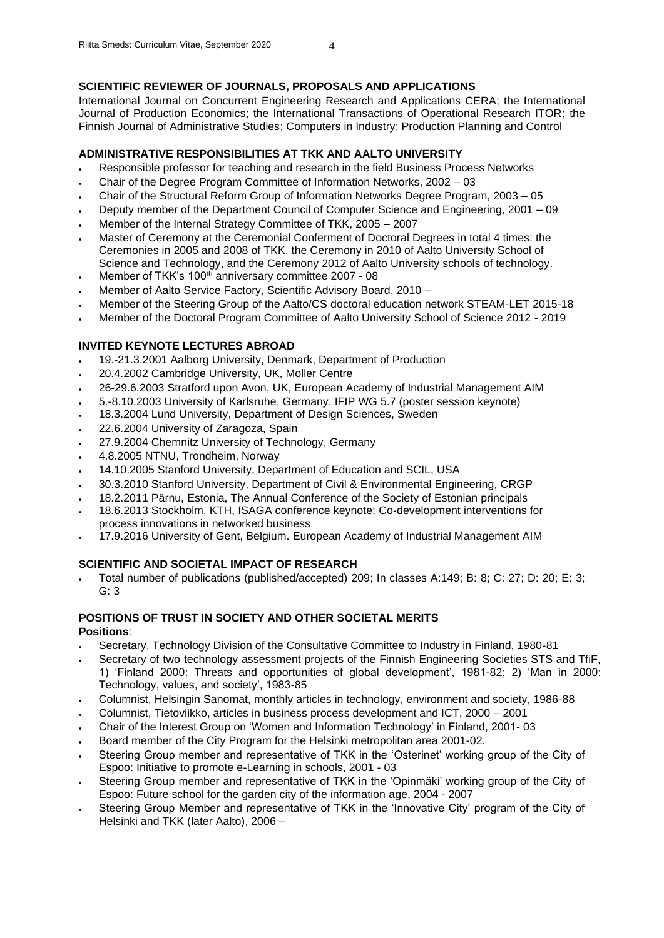### **SCIENTIFIC REVIEWER OF JOURNALS, PROPOSALS AND APPLICATIONS**

International Journal on Concurrent Engineering Research and Applications CERA; the International Journal of Production Economics; the International Transactions of Operational Research ITOR; the Finnish Journal of Administrative Studies; Computers in Industry; Production Planning and Control

### **ADMINISTRATIVE RESPONSIBILITIES AT TKK AND AALTO UNIVERSITY**

- Responsible professor for teaching and research in the field Business Process Networks
- Chair of the Degree Program Committee of Information Networks, 2002 03
- Chair of the Structural Reform Group of Information Networks Degree Program, 2003 05
- Deputy member of the Department Council of Computer Science and Engineering, 2001 09
- Member of the Internal Strategy Committee of TKK, 2005 2007
- Master of Ceremony at the Ceremonial Conferment of Doctoral Degrees in total 4 times: the Ceremonies in 2005 and 2008 of TKK, the Ceremony in 2010 of Aalto University School of Science and Technology, and the Ceremony 2012 of Aalto University schools of technology.
- Member of TKK's 100<sup>th</sup> anniversary committee 2007 08
- Member of Aalto Service Factory, Scientific Advisory Board, 2010 –
- Member of the Steering Group of the Aalto/CS doctoral education network STEAM-LET 2015-18
- Member of the Doctoral Program Committee of Aalto University School of Science 2012 2019

### **INVITED KEYNOTE LECTURES ABROAD**

- 19.-21.3.2001 Aalborg University, Denmark, Department of Production
- 20.4.2002 Cambridge University, UK, Moller Centre
- 26-29.6.2003 Stratford upon Avon, UK, European Academy of Industrial Management AIM
- 5.-8.10.2003 University of Karlsruhe, Germany, IFIP WG 5.7 (poster session keynote)
- 18.3.2004 Lund University, Department of Design Sciences, Sweden
- 22.6.2004 University of Zaragoza, Spain
- 27.9.2004 Chemnitz University of Technology, Germany
- 4.8.2005 NTNU, Trondheim, Norway
- 14.10.2005 Stanford University, Department of Education and SCIL, USA
- 30.3.2010 Stanford University, Department of Civil & Environmental Engineering, CRGP
- 18.2.2011 Pärnu, Estonia, The Annual Conference of the Society of Estonian principals
- 18.6.2013 Stockholm, KTH, ISAGA conference keynote: Co-development interventions for process innovations in networked business
- 17.9.2016 University of Gent, Belgium. European Academy of Industrial Management AIM

### **SCIENTIFIC AND SOCIETAL IMPACT OF RESEARCH**

• Total number of publications (published/accepted) 209; In classes A:149; B: 8; C: 27; D: 20; E: 3; G: 3

# **POSITIONS OF TRUST IN SOCIETY AND OTHER SOCIETAL MERITS**

#### **Positions**:

- Secretary, Technology Division of the Consultative Committee to Industry in Finland, 1980-81
- Secretary of two technology assessment projects of the Finnish Engineering Societies STS and TfiF, 1) 'Finland 2000: Threats and opportunities of global development', 1981-82; 2) 'Man in 2000: Technology, values, and society', 1983-85
- Columnist, Helsingin Sanomat, monthly articles in technology, environment and society, 1986-88
- Columnist, Tietoviikko, articles in business process development and ICT, 2000 2001
- Chair of the Interest Group on 'Women and Information Technology' in Finland, 2001- 03
- Board member of the City Program for the Helsinki metropolitan area 2001-02.
- Steering Group member and representative of TKK in the 'Osterinet' working group of the City of Espoo: Initiative to promote e-Learning in schools, 2001 - 03
- Steering Group member and representative of TKK in the 'Opinmäki' working group of the City of Espoo: Future school for the garden city of the information age, 2004 - 2007
- Steering Group Member and representative of TKK in the 'Innovative City' program of the City of Helsinki and TKK (later Aalto), 2006 –